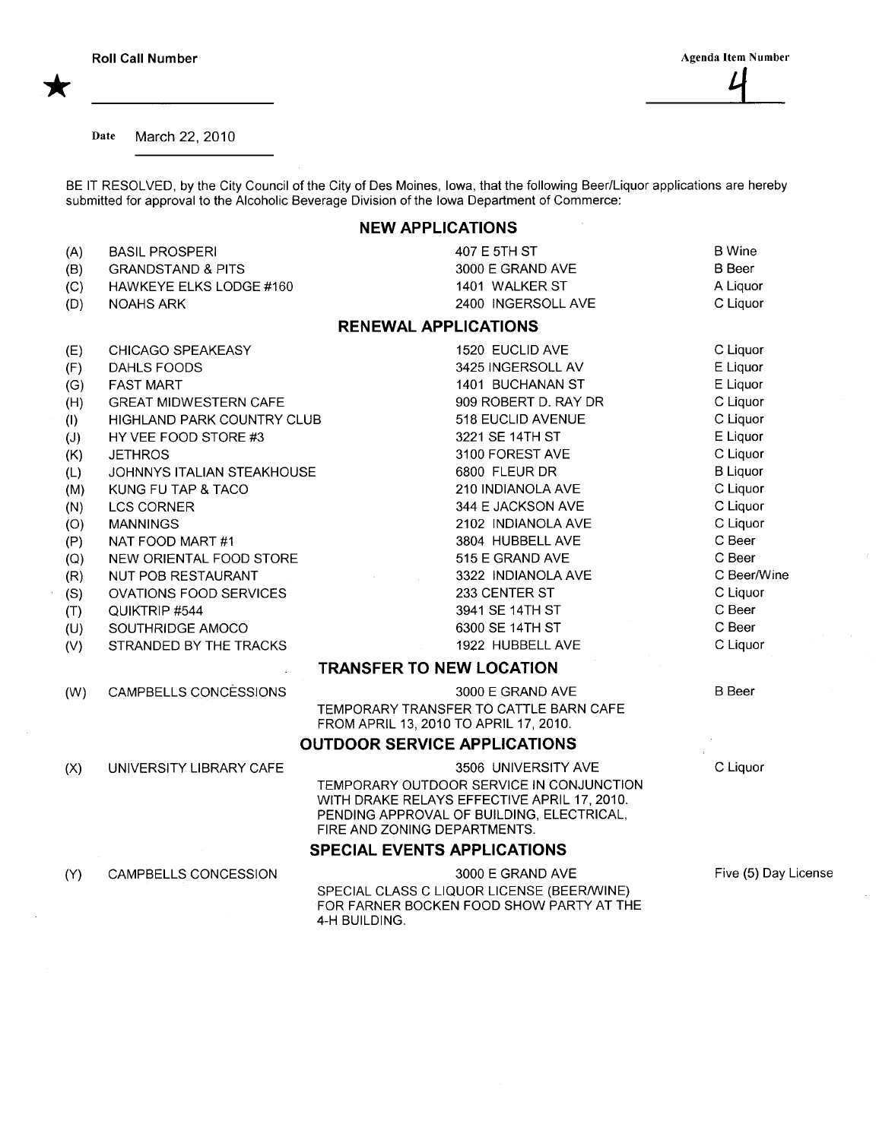Date March 22, 2010

BE IT RESOLVED, by the City Council of the City of Des Moines, Iowa, that the following Beer/Liquor applications are hereby submitted for approval to the Alcoholic Beverage Division of the Iowa Department of Commerce:

## NEW APPLICATIONS

| (A)<br>(B)<br>(C)<br>(D)                                                                       | <b>BASIL PROSPERI</b><br><b>GRANDSTAND &amp; PITS</b><br>HAWKEYE ELKS LODGE #160<br><b>NOAHS ARK</b>                                                                                                                                                                                                                                 | 407 E 5TH ST<br>3000 E GRAND AVE<br>1401 WALKER ST<br>2400 INGERSOLL AVE                                                                                                                                                                                                                  | <b>B</b> Wine<br><b>B</b> Beer<br>A Liquor<br>C Liquor                                                                                                                     |  |
|------------------------------------------------------------------------------------------------|--------------------------------------------------------------------------------------------------------------------------------------------------------------------------------------------------------------------------------------------------------------------------------------------------------------------------------------|-------------------------------------------------------------------------------------------------------------------------------------------------------------------------------------------------------------------------------------------------------------------------------------------|----------------------------------------------------------------------------------------------------------------------------------------------------------------------------|--|
|                                                                                                |                                                                                                                                                                                                                                                                                                                                      | <b>RENEWAL APPLICATIONS</b>                                                                                                                                                                                                                                                               |                                                                                                                                                                            |  |
| (E)<br>(F)<br>(G)<br>(H)<br>(1)<br>(J)<br>(K)<br>(L)<br>(M)<br>(N)<br>(O)<br>(P)<br>(Q)<br>(R) | CHICAGO SPEAKEASY<br>DAHLS FOODS<br><b>FAST MART</b><br><b>GREAT MIDWESTERN CAFE</b><br>HIGHLAND PARK COUNTRY CLUB<br>HY VEE FOOD STORE #3<br><b>JETHROS</b><br>JOHNNYS ITALIAN STEAKHOUSE<br>KUNG FU TAP & TACO<br><b>LCS CORNER</b><br><b>MANNINGS</b><br>NAT FOOD MART #1<br>NEW ORIENTAL FOOD STORE<br><b>NUT POB RESTAURANT</b> | 1520 EUCLID AVE<br>3425 INGERSOLL AV<br>1401 BUCHANAN ST<br>909 ROBERT D. RAY DR<br>518 EUCLID AVENUE<br>3221 SE 14TH ST<br>3100 FOREST AVE<br>6800 FLEUR DR<br>210 INDIANOLA AVE<br>344 E JACKSON AVE<br>2102 INDIANOLA AVE<br>3804 HUBBELL AVE<br>515 E GRAND AVE<br>3322 INDIANOLA AVE | C Liquor<br>E Liquor<br>E Liquor<br>C Liquor<br>C Liquor<br>E Liquor<br>C Liquor<br><b>B</b> Liquor<br>C Liquor<br>C Liquor<br>C Liquor<br>C Beer<br>C Beer<br>C Beer/Wine |  |
| (S)<br>(T)<br>(U)<br>(V)                                                                       | OVATIONS FOOD SERVICES<br>QUIKTRIP #544<br>SOUTHRIDGE AMOCO<br>STRANDED BY THE TRACKS                                                                                                                                                                                                                                                | 233 CENTER ST<br>3941 SE 14TH ST<br>6300 SE 14TH ST<br>1922 HUBBELL AVE                                                                                                                                                                                                                   | C Liquor<br>C Beer<br>C Beer<br>C Liquor                                                                                                                                   |  |
|                                                                                                |                                                                                                                                                                                                                                                                                                                                      | <b>TRANSFER TO NEW LOCATION</b>                                                                                                                                                                                                                                                           |                                                                                                                                                                            |  |
| (W)                                                                                            | CAMPBELLS CONCESSIONS                                                                                                                                                                                                                                                                                                                | 3000 E GRAND AVE<br>TEMPORARY TRANSFER TO CATTLE BARN CAFE<br>FROM APRIL 13, 2010 TO APRIL 17, 2010.<br><b>OUTDOOR SERVICE APPLICATIONS</b>                                                                                                                                               | <b>B</b> Beer                                                                                                                                                              |  |
| (X)                                                                                            | UNIVERSITY LIBRARY CAFE                                                                                                                                                                                                                                                                                                              | C Liquor<br>3506 UNIVERSITY AVE<br>TEMPORARY OUTDOOR SERVICE IN CONJUNCTION<br>WITH DRAKE RELAYS EFFECTIVE APRIL 17, 2010.<br>PENDING APPROVAL OF BUILDING, ELECTRICAL,<br>FIRE AND ZONING DEPARTMENTS.<br><b>SPECIAL EVENTS APPLICATIONS</b>                                             |                                                                                                                                                                            |  |
| (Y)                                                                                            | CAMPBELLS CONCESSION                                                                                                                                                                                                                                                                                                                 | 3000 E GRAND AVE<br>SPECIAL CLASS C LIQUOR LICENSE (BEER/WINE)<br>FOR FARNER BOCKEN FOOD SHOW PARTY AT THE<br>4-H BUILDING.                                                                                                                                                               | Five (5) Day License                                                                                                                                                       |  |